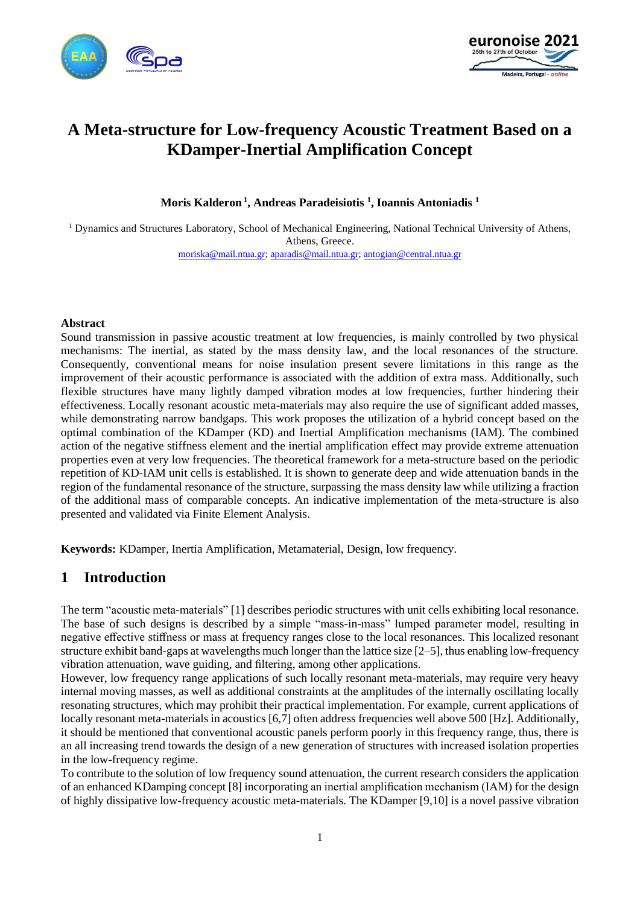



# **A Meta-structure for Low-frequency Acoustic Treatment Based on a KDamper-Inertial Amplification Concept**

**Moris Kalderon <sup>1</sup> , Andreas Paradeisiotis <sup>1</sup> , Ioannis Antoniadis <sup>1</sup>**

<sup>1</sup> Dynamics and Structures Laboratory, School of Mechanical Engineering, National Technical University of Athens, Athens, Greece.

[moriska@mail.ntua.gr;](mailto:moriska@mail.ntua.gr) [aparadis@mail.ntua.gr;](mailto:aparadis@mail.ntua.gr) [antogian@central.ntua.gr](mailto:antogian@central.ntua.gr)

#### **Abstract**

Sound transmission in passive acoustic treatment at low frequencies, is mainly controlled by two physical mechanisms: The inertial, as stated by the mass density law, and the local resonances of the structure. Consequently, conventional means for noise insulation present severe limitations in this range as the improvement of their acoustic performance is associated with the addition of extra mass. Additionally, such flexible structures have many lightly damped vibration modes at low frequencies, further hindering their effectiveness. Locally resonant acoustic meta-materials may also require the use of significant added masses, while demonstrating narrow bandgaps. This work proposes the utilization of a hybrid concept based on the optimal combination of the KDamper (KD) and Inertial Amplification mechanisms (IAM). The combined action of the negative stiffness element and the inertial amplification effect may provide extreme attenuation properties even at very low frequencies. The theoretical framework for a meta-structure based on the periodic repetition of KD-IAM unit cells is established. It is shown to generate deep and wide attenuation bands in the region of the fundamental resonance of the structure, surpassing the mass density law while utilizing a fraction of the additional mass of comparable concepts. An indicative implementation of the meta-structure is also presented and validated via Finite Element Analysis.

**Keywords:** KDamper, Inertia Amplification, Metamaterial, Design, low frequency.

### **1 Introduction**

Τhe term "acoustic meta-materials" [1] describes periodic structures with unit cells exhibiting local resonance. The base of such designs is described by a simple "mass-in-mass" lumped parameter model, resulting in negative effective stiffness or mass at frequency ranges close to the local resonances. This localized resonant structure exhibit band-gaps at wavelengths much longer than the lattice size [2–5], thus enabling low-frequency vibration attenuation, wave guiding, and filtering, among other applications.

However, low frequency range applications of such locally resonant meta-materials, may require very heavy internal moving masses, as well as additional constraints at the amplitudes of the internally oscillating locally resonating structures, which may prohibit their practical implementation. For example, current applications of locally resonant meta-materials in acoustics [6,7] often address frequencies well above 500 [Hz]. Additionally, it should be mentioned that conventional acoustic panels perform poorly in this frequency range, thus, there is an all increasing trend towards the design of a new generation of structures with increased isolation properties in the low-frequency regime.

To contribute to the solution of low frequency sound attenuation, the current research considers the application of an enhanced KDamping concept [8] incorporating an inertial amplification mechanism (IAM) for the design of highly dissipative low-frequency acoustic meta-materials. The KDamper [9,10] is a novel passive vibration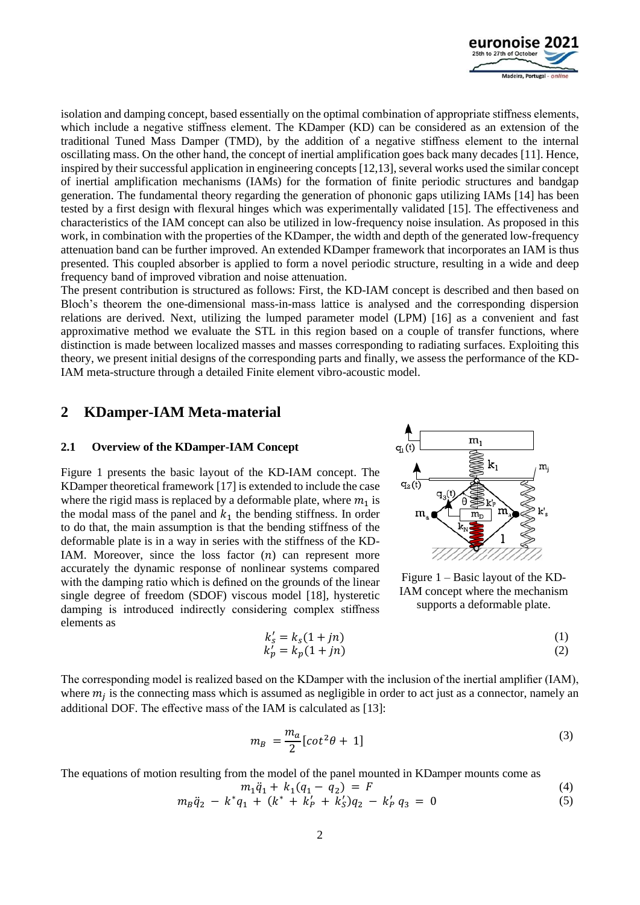

isolation and damping concept, based essentially on the optimal combination of appropriate stiffness elements, which include a negative stiffness element. The KDamper (KD) can be considered as an extension of the traditional Tuned Mass Damper (TMD), by the addition of a negative stiffness element to the internal oscillating mass. On the other hand, the concept of inertial amplification goes back many decades [11]. Hence, inspired by their successful application in engineering concepts [12,13], several works used the similar concept of inertial amplification mechanisms (IAMs) for the formation of finite periodic structures and bandgap generation. The fundamental theory regarding the generation of phononic gaps utilizing IAMs [14] has been tested by a first design with flexural hinges which was experimentally validated [15]. The effectiveness and characteristics of the IAM concept can also be utilized in low-frequency noise insulation. As proposed in this work, in combination with the properties of the KDamper, the width and depth of the generated low-frequency attenuation band can be further improved. An extended KDamper framework that incorporates an IAM is thus presented. This coupled absorber is applied to form a novel periodic structure, resulting in a wide and deep frequency band of improved vibration and noise attenuation.

The present contribution is structured as follows: First, the KD-IAM concept is described and then based on Bloch's theorem the one-dimensional mass-in-mass lattice is analysed and the corresponding dispersion relations are derived. Next, utilizing the lumped parameter model (LPM) [16] as a convenient and fast approximative method we evaluate the STL in this region based on a couple of transfer functions, where distinction is made between localized masses and masses corresponding to radiating surfaces. Exploiting this theory, we present initial designs of the corresponding parts and finally, we assess the performance of the KD-IAM meta-structure through a detailed Finite element vibro-acoustic model.

### **2 KDamper-IAM Meta-material**

#### **2.1 Overview of the KDamper-IAM Concept**

[Figure 1](#page-1-0) presents the basic layout of the KD-IAM concept. The KDamper theoretical framework [17] is extended to include the case where the rigid mass is replaced by a deformable plate, where  $m_1$  is the modal mass of the panel and  $k_1$  the bending stiffness. In order to do that, the main assumption is that the bending stiffness of the deformable plate is in a way in series with the stiffness of the KD-IAM. Moreover, since the loss factor  $(n)$  can represent more accurately the dynamic response of nonlinear systems compared with the damping ratio which is defined on the grounds of the linear single degree of freedom (SDOF) viscous model [18], hysteretic damping is introduced indirectly considering complex stiffness elements as



<span id="page-1-0"></span>Figure 1 – Basic layout of the KD-IAM concept where the mechanism supports a deformable plate.

$$
k'_{s} = k_{s}(1 + jn)
$$
  
\n
$$
k'_{p} = k_{p}(1 + jn)
$$
\n(1)  
\n(2)

The corresponding model is realized based on the KDamper with the inclusion of the inertial amplifier (IAM), where  $m_j$  is the connecting mass which is assumed as negligible in order to act just as a connector, namely an additional DOF. The effective mass of the IAM is calculated as [13]:

$$
m_B = \frac{m_a}{2} [cot^2 \theta + 1]
$$
\n(3)

The equations of motion resulting from the model of the panel mounted in KDamper mounts come as

$$
m_1 \ddot{q}_1 + k_1 (q_1 - q_2) = F
$$
  
\n
$$
m_B \ddot{q}_2 - k^* q_1 + (k^* + k'_P + k'_S) q_2 - k'_P q_3 = 0
$$
\n(4)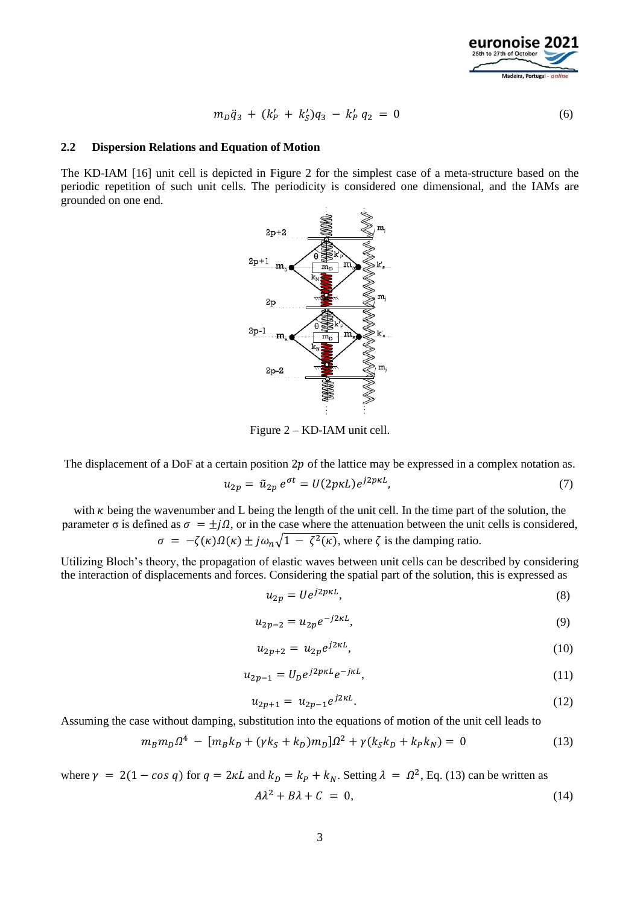

$$
m_D \ddot{q}_3 + (k'_P + k'_S)q_3 - k'_P q_2 = 0 \tag{6}
$$

#### **2.2 Dispersion Relations and Equation of Motion**

The KD-IAM [16] unit cell is depicted in [Figure 2](#page-2-0) for the simplest case of a meta-structure based on the periodic repetition of such unit cells. The periodicity is considered one dimensional, and the IAMs are grounded on one end.



<span id="page-2-0"></span>Figure 2 – KD-IAM unit cell.

The displacement of a DoF at a certain position  $2p$  of the lattice may be expressed in a complex notation as.

$$
u_{2p} = \tilde{u}_{2p} e^{\sigma t} = U(2p\kappa L)e^{j2p\kappa L},\tag{7}
$$

with  $\kappa$  being the wavenumber and L being the length of the unit cell. In the time part of the solution, the parameter  $\sigma$  is defined as  $\sigma = \pm j\Omega$ , or in the case where the attenuation between the unit cells is considered,  $\sigma = -\zeta(\kappa)\Omega(\kappa) \pm j\omega_n\sqrt{1 - \zeta^2(\kappa)}$ , where  $\zeta$  is the damping ratio.

Utilizing Bloch's theory, the propagation of elastic waves between unit cells can be described by considering the interaction of displacements and forces. Considering the spatial part of the solution, this is expressed as

$$
u_{2p} = U e^{j2p\kappa L},\tag{8}
$$

$$
u_{2p-2} = u_{2p} e^{-j2\kappa L},\tag{9}
$$

$$
u_{2p+2} = u_{2p} e^{j2\kappa L},\tag{10}
$$

$$
u_{2p-1} = U_p e^{j2p\kappa L} e^{-j\kappa L},\tag{11}
$$

<span id="page-2-2"></span><span id="page-2-1"></span>
$$
u_{2p+1} = u_{2p-1} e^{j2\kappa L}.
$$
 (12)

Assuming the case without damping, substitution into the equations of motion of the unit cell leads to

$$
m_B m_D \Omega^4 - [m_B k_D + (\gamma k_S + k_D) m_D] \Omega^2 + \gamma (k_S k_D + k_P k_N) = 0
$$
\n(13)

where  $\gamma = 2(1 - \cos q)$  for  $q = 2\kappa L$  and  $k_D = k_P + k_N$ . Setting  $\lambda = \Omega^2$ , Eq. [\(13\)](#page-2-1) can be written as  $A\lambda^2 + B\lambda + C = 0,$  (14)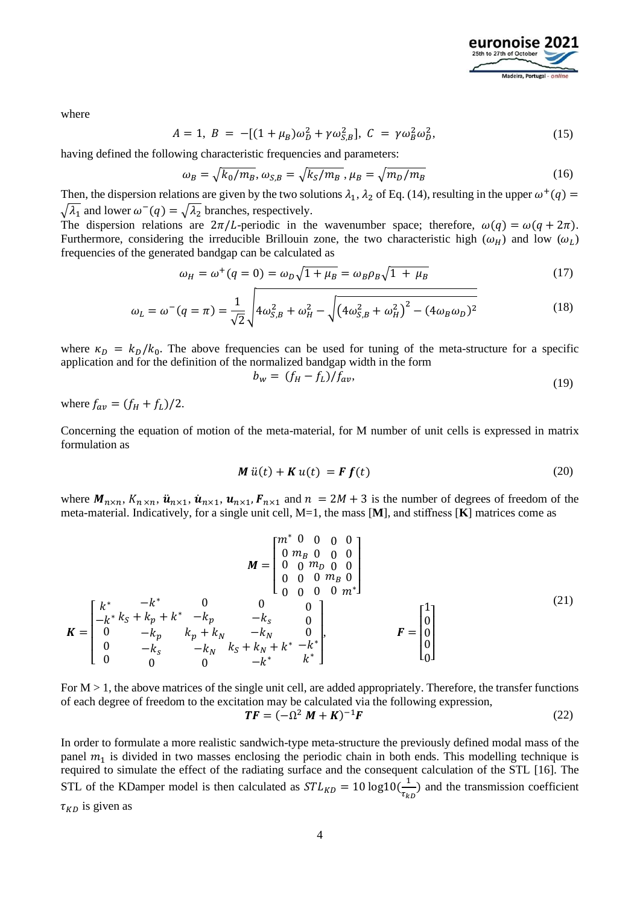

where

$$
A = 1, B = -[(1 + \mu_B)\omega_D^2 + \gamma \omega_{S,B}^2], C = \gamma \omega_B^2 \omega_D^2,
$$
\n(15)

having defined the following characteristic frequencies and parameters:

$$
\omega_B = \sqrt{k_0/m_B}, \omega_{S,B} = \sqrt{k_S/m_B}, \mu_B = \sqrt{m_D/m_B}
$$
(16)

Then, the dispersion relations are given by the two solutions  $\lambda_1$ ,  $\lambda_2$  of Eq. [\(14\),](#page-2-2) resulting in the upper  $\omega^+(q)$  =  $\sqrt{\lambda_1}$  and lower  $\omega^{-}(q) = \sqrt{\lambda_2}$  branches, respectively.

The dispersion relations are  $2\pi/L$ -periodic in the wavenumber space; therefore,  $\omega(q) = \omega(q + 2\pi)$ . Furthermore, considering the irreducible Brillouin zone, the two characteristic high  $(\omega_H)$  and low  $(\omega_L)$ frequencies of the generated bandgap can be calculated as

$$
\omega_H = \omega^+(q=0) = \omega_D \sqrt{1 + \mu_B} = \omega_B \rho_B \sqrt{1 + \mu_B}
$$
\n(17)

$$
\omega_L = \omega^-(q = \pi) = \frac{1}{\sqrt{2}} \sqrt{4\omega_{S,B}^2 + \omega_H^2 - \sqrt{(4\omega_{S,B}^2 + \omega_H^2)^2 - (4\omega_B\omega_D)^2}}
$$
(18)

where  $\kappa_D = k_D/k_0$ . The above frequencies can be used for tuning of the meta-structure for a specific application and for the definition of the normalized bandgap width in the form

$$
b_w = (f_H - f_L) / f_{av},\tag{19}
$$

where  $f_{av} = (f_H + f_L)/2$ .

Concerning the equation of motion of the meta-material, for M number of unit cells is expressed in matrix formulation as

$$
\mathbf{M}\ddot{u}(t) + \mathbf{K}\dot{u}(t) = \mathbf{F}\mathbf{f}(t) \tag{20}
$$

where  $M_{n \times n}$ ,  $K_{n \times n}$ ,  $\ddot{u}_{n \times 1}$ ,  $\dot{u}_{n \times 1}$ ,  $\dot{u}_{n \times 1}$ ,  $F_{n \times 1}$  and  $n = 2M + 3$  is the number of degrees of freedom of the meta-material. Indicatively, for a single unit cell, M=1, the mass [**M**], and stiffness [**K**] matrices come as

$$
K = \begin{bmatrix} k^* & -k^* & 0 & 0 & 0 \\ 0 & m_B & 0 & 0 & 0 \\ 0 & 0 & m_D & 0 & 0 \\ 0 & 0 & 0 & m_B & 0 \\ 0 & -k^* & k^* + k^* & -k^* & 0 \\ 0 & -k^* & k^* + k^* & -k^* & 0 \\ 0 & -k^* & k^* + k^* & -k^* & 0 \\ 0 & 0 & 0 & -k^* & k^* + k^* & k^* \end{bmatrix}, \qquad F = \begin{bmatrix} 1 \\ 0 \\ 0 \\ 0 \\ 0 \\ 0 \end{bmatrix}
$$
 (21)

For  $M > 1$ , the above matrices of the single unit cell, are added appropriately. Therefore, the transfer functions of each degree of freedom to the excitation may be calculated via the following expression,

$$
\mathbf{T}\mathbf{F} = (-\Omega^2 \mathbf{M} + \mathbf{K})^{-1} \mathbf{F} \tag{22}
$$

In order to formulate a more realistic sandwich-type meta-structure the previously defined modal mass of the panel  $m_1$  is divided in two masses enclosing the periodic chain in both ends. This modelling technique is required to simulate the effect of the radiating surface and the consequent calculation of the STL [16]. The STL of the KDamper model is then calculated as  $STL_{KD} = 10 \log 10 \left( \frac{1}{\tau_L} \right)$  $\frac{1}{\tau_{kD}}$ ) and the transmission coefficient  $\tau_{KD}$  is given as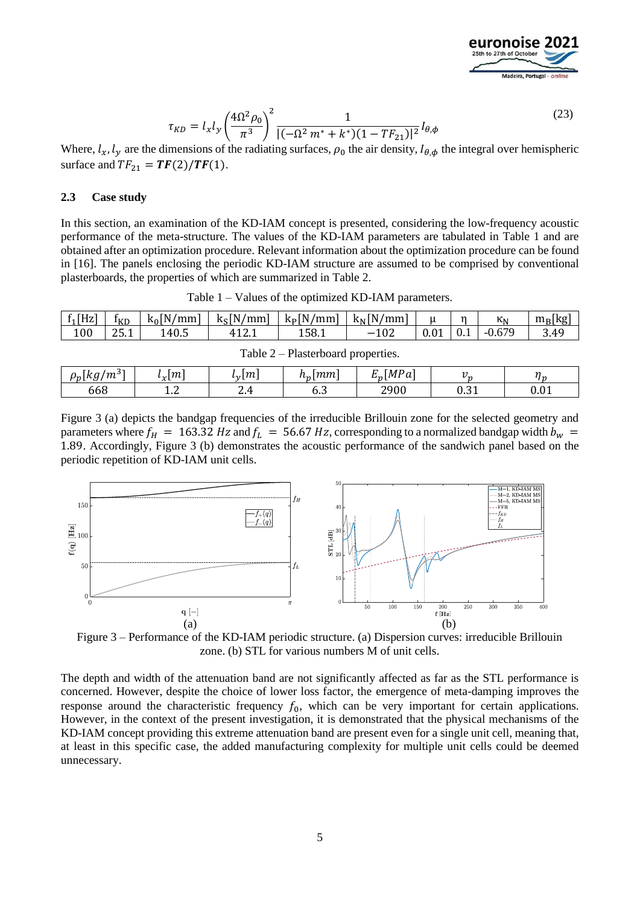

 $E_p[MPa]$  |  $v_p$  |  $\eta_p$ 

$$
\tau_{KD} = l_x l_y \left(\frac{4\Omega^2 \rho_0}{\pi^3}\right)^2 \frac{1}{|(-\Omega^2 m^* + k^*)(1 - TF_{21})|^2} I_{\theta, \phi}
$$
\n(23)

Where,  $l_x$ ,  $l_y$  are the dimensions of the radiating surfaces,  $\rho_0$  the air density,  $l_{\theta,\phi}$  the integral over hemispheric surface and  $TF_{21} = TF(2)/TF(1)$ .

#### **2.3 Case study**

<span id="page-4-1"></span> $\rho_n[kg/m^3]$ 

 $\left| \begin{array}{cc} l_x[m] & l_y \end{array} \right|$ 

 $l_{\rm v}[m]$ 

In this section, an examination of the KD-IAM concept is presented, considering the low-frequency acoustic performance of the meta-structure. The values of the KD-IAM parameters are tabulated in [Table 1](#page-4-0) and are obtained after an optimization procedure. Relevant information about the optimization procedure can be found in [16]. The panels enclosing the periodic KD-IAM structure are assumed to be comprised by conventional plasterboards, the properties of which are summarized in [Table 2.](#page-4-1)

<span id="page-4-0"></span>

| $f_1[Hz]$                            | I <sub>KD</sub> | $k_0$ [N/mm] | $k_s$ [N/mm] | $k_P[N/mm]$ | $k_N[N/mm]$ |  | n   | $\kappa_{N}$ | $m_B$ [kg] |  |
|--------------------------------------|-----------------|--------------|--------------|-------------|-------------|--|-----|--------------|------------|--|
| 100                                  | 25.1            | 140.5        | 412.1        | 158.1       | $-102$      |  | V.I | $-0.679$     | 3.49       |  |
| Table $2$ – Plasterboard properties. |                 |              |              |             |             |  |     |              |            |  |

 $h_p[mm]$ 

668 1.2 2.4 6.3 2900 0.31 0.01

|  |  |  |  |  | Table 1 – Values of the optimized KD-IAM parameters. |
|--|--|--|--|--|------------------------------------------------------|
|--|--|--|--|--|------------------------------------------------------|

[Figure 3](#page-4-2) (a) depicts the bandgap frequencies of the irreducible Brillouin zone for the selected geometry and parameters where  $f_H = 163.32 Hz$  and  $f_L = 56.67 Hz$ , corresponding to a normalized bandgap width  $b_w =$ 1.89. Accordingly, [Figure 3](#page-4-2) (b) demonstrates the acoustic performance of the sandwich panel based on the periodic repetition of KD-IAM unit cells.



<span id="page-4-2"></span>Figure 3 – Performance of the KD-IAM periodic structure. (a) Dispersion curves: irreducible Brillouin zone. (b) STL for various numbers M of unit cells.

The depth and width of the attenuation band are not significantly affected as far as the STL performance is concerned. However, despite the choice of lower loss factor, the emergence of meta-damping improves the response around the characteristic frequency  $f_0$ , which can be very important for certain applications. However, in the context of the present investigation, it is demonstrated that the physical mechanisms of the KD-IAM concept providing this extreme attenuation band are present even for a single unit cell, meaning that, at least in this specific case, the added manufacturing complexity for multiple unit cells could be deemed unnecessary.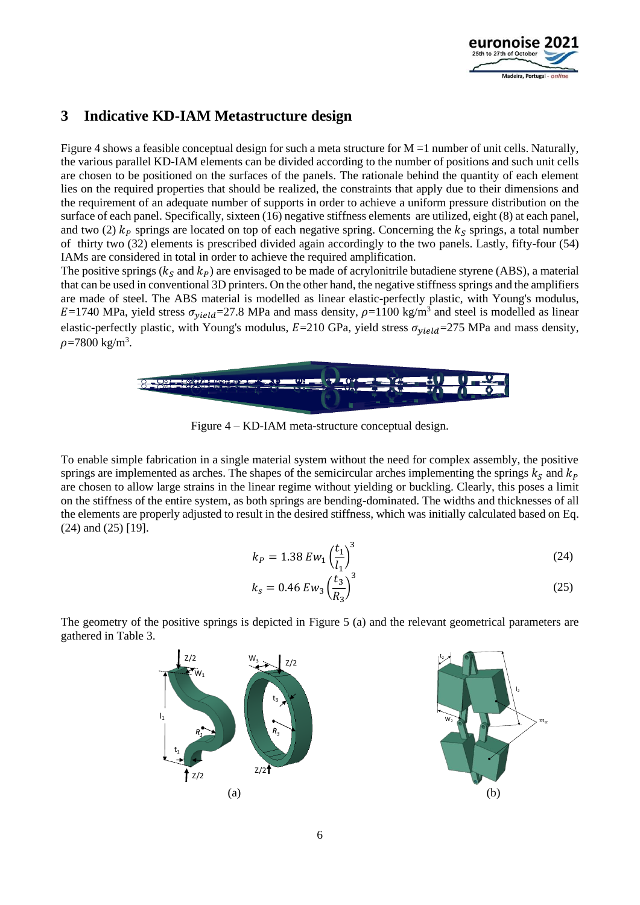

# **3 Indicative KD-IAM Metastructure design**

[Figure 4](#page-5-0) shows a feasible conceptual design for such a meta structure for  $M = 1$  number of unit cells. Naturally, the various parallel KD-IAM elements can be divided according to the number of positions and such unit cells are chosen to be positioned on the surfaces of the panels. The rationale behind the quantity of each element lies on the required properties that should be realized, the constraints that apply due to their dimensions and the requirement of an adequate number of supports in order to achieve a uniform pressure distribution on the surface of each panel. Specifically, sixteen (16) negative stiffness elements are utilized, eight (8) at each panel, and two (2)  $k_P$  springs are located on top of each negative spring. Concerning the  $k_S$  springs, a total number of thirty two (32) elements is prescribed divided again accordingly to the two panels. Lastly, fifty-four (54) IAMs are considered in total in order to achieve the required amplification.

The positive springs ( $k<sub>S</sub>$  and  $k<sub>P</sub>$ ) are envisaged to be made of acrylonitrile butadiene styrene (ABS), a material that can be used in conventional 3D printers. On the other hand, the negative stiffness springs and the amplifiers are made of steel. The ABS material is modelled as linear elastic-perfectly plastic, with Young's modulus,  $E=1740$  MPa, yield stress  $\sigma_{yield}=27.8$  MPa and mass density,  $\rho=1100$  kg/m<sup>3</sup> and steel is modelled as linear elastic-perfectly plastic, with Young's modulus,  $E=210$  GPa, yield stress  $\sigma_{yield}=275$  MPa and mass density,  $\rho$ =7800 kg/m<sup>3</sup>.



Figure 4 – KD-IAM meta-structure conceptual design.

<span id="page-5-0"></span>To enable simple fabrication in a single material system without the need for complex assembly, the positive springs are implemented as arches. The shapes of the semicircular arches implementing the springs  $k_s$  and  $k_p$ are chosen to allow large strains in the linear regime without yielding or buckling. Clearly, this poses a limit on the stiffness of the entire system, as both springs are bending-dominated. The widths and thicknesses of all the elements are properly adjusted to result in the desired stiffness, which was initially calculated based on Eq. (24) and (25) [19].

$$
k_P = 1.38 \, Ew_1 \left(\frac{t_1}{l_1}\right)^3 \tag{24}
$$

$$
k_s = 0.46 \, E w_3 \left(\frac{t_3}{R_3}\right)^3 \tag{25}
$$

The geometry of the positive springs is depicted in [Figure 5](#page-6-0) (a) and the relevant geometrical parameters are gathered in [Table 3.](#page-6-1)

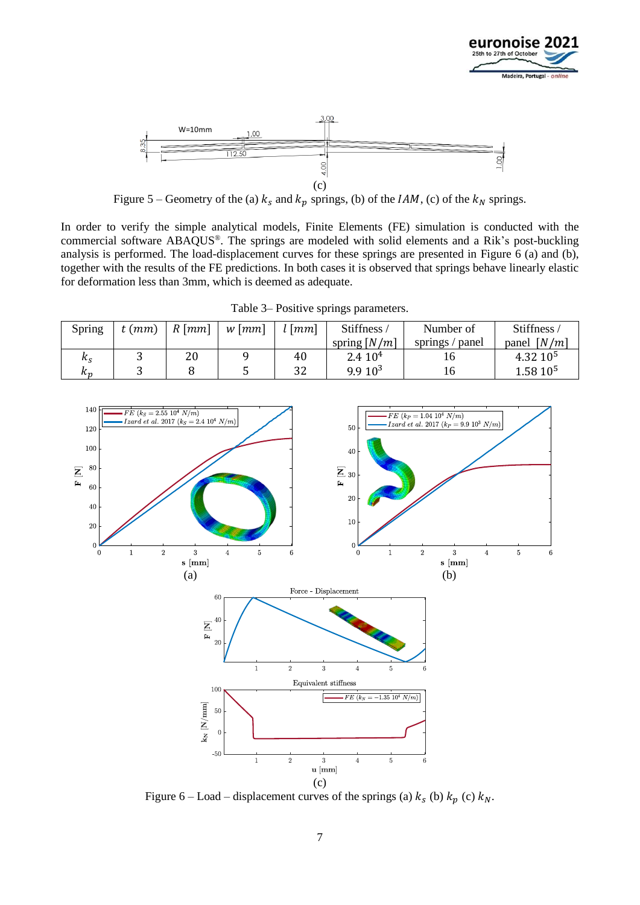



Figure 5 – Geometry of the (a)  $k_s$  and  $k_p$  springs, (b) of the *IAM*, (c) of the  $k_N$  springs.

<span id="page-6-0"></span>In order to verify the simple analytical models, Finite Elements (FE) simulation is conducted with the commercial software ABAQUS®. The springs are modeled with solid elements and a Rik's post-buckling analysis is performed. The load-displacement curves for these springs are presented in [Figure 6](#page-6-2) (a) and (b), together with the results of the FE predictions. In both cases it is observed that springs behave linearly elastic for deformation less than 3mm, which is deemed as adequate.

Table 3– Positive springs parameters.

<span id="page-6-1"></span>

| Spring  | $t$ ( $mm$ ) | $R \, [mm]$ | $w$ [ $mm$ ] | $l$ [ $mm$ ] | <b>Stiffness</b>   | Number of       | Stiffness/           |
|---------|--------------|-------------|--------------|--------------|--------------------|-----------------|----------------------|
|         |              |             |              |              | spring $[N/m]$     | springs / panel | panel $[N/m]$        |
| $k_{S}$ | ັ            | 20          |              | 40           | 2.410 <sup>4</sup> |                 | 4.32 10 <sup>5</sup> |
| n n     |              |             |              | 32           | 9.910 <sup>3</sup> | 16.             | $1.5810^{5}$         |



<span id="page-6-2"></span>Figure 6 – Load – displacement curves of the springs (a)  $k_s$  (b)  $k_p$  (c)  $k_N$ .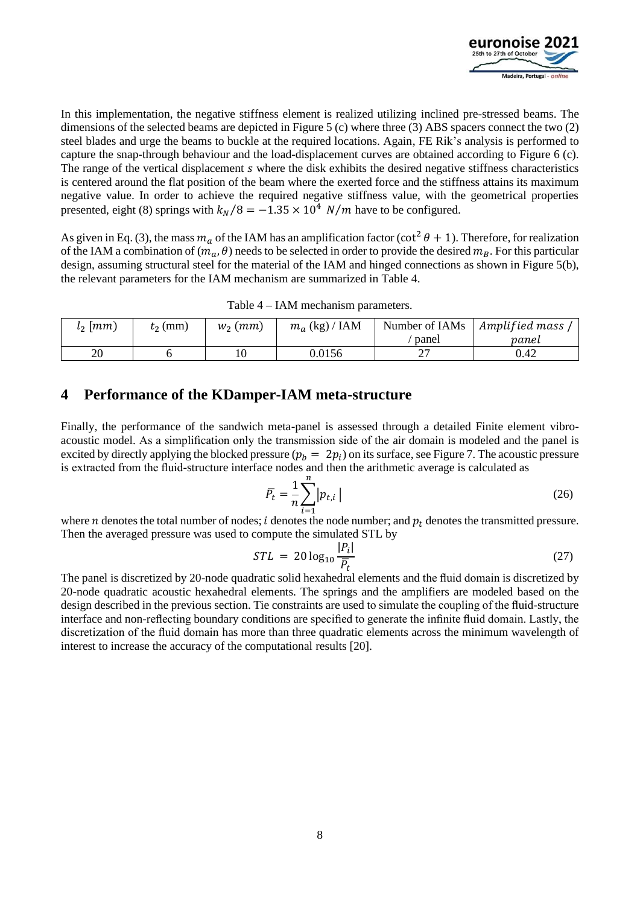

In this implementation, the negative stiffness element is realized utilizing inclined pre-stressed beams. The dimensions of the selected beams are depicted in [Figure 5](#page-6-0) (c) where three (3) ABS spacers connect the two (2) steel blades and urge the beams to buckle at the required locations. Again, FE Rik's analysis is performed to capture the snap-through behaviour and the load-displacement curves are obtained according to [Figure 6](#page-6-2) (c). The range of the vertical displacement *s* where the disk exhibits the desired negative stiffness characteristics is centered around the flat position of the beam where the exerted force and the stiffness attains its maximum negative value. In order to achieve the required negative stiffness value, with the geometrical properties presented, eight (8) springs with  $k_N/8 = -1.35 \times 10^4$  *N/m* have to be configured.

As given in Eq. (3), the mass  $m_a$  of the IAM has an amplification factor (cot<sup>2</sup>  $\theta$  + 1). Therefore, for realization of the IAM a combination of  $(m_a, \theta)$  needs to be selected in order to provide the desired  $m_B$ . For this particular design, assuming structural steel for the material of the IAM and hinged connections as shown in [Figure 5\(](#page-6-0)b), the relevant parameters for the IAM mechanism are summarized in [Table 4.](#page-7-0)

| Table 4 – IAM mechanism parameters. |  |  |  |  |
|-------------------------------------|--|--|--|--|
|-------------------------------------|--|--|--|--|

<span id="page-7-0"></span>

| $l_2$ [mm) | $\ell_2$ (mm) | $W_2$ ( <i>mm</i> ) | $m_a$ (kg) / IAM | Number of IAMs<br>panel | Amplified mass<br>panel |
|------------|---------------|---------------------|------------------|-------------------------|-------------------------|
| 20         |               | 10                  | 0.0156           | 77<br>∸ '               | 0.42                    |

### **4 Performance of the KDamper-IAM meta-structure**

Finally, the performance of the sandwich meta-panel is assessed through a detailed Finite element vibroacoustic model. As a simplification only the transmission side of the air domain is modeled and the panel is excited by directly applying the blocked pressure  $(p_b = 2p_i)$  on its surface, se[e Figure 7.](#page-8-0) The acoustic pressure is extracted from the fluid-structure interface nodes and then the arithmetic average is calculated as

$$
\overline{P}_t = \frac{1}{n} \sum_{i=1}^n \left| p_{t,i} \right| \tag{26}
$$

where *n* denotes the total number of nodes; *i* denotes the node number; and  $p_t$  denotes the transmitted pressure. Then the averaged pressure was used to compute the simulated STL by

$$
STL = 20 \log_{10} \frac{|P_i|}{\overline{P_t}} \tag{27}
$$

The panel is discretized by 20-node quadratic solid hexahedral elements and the fluid domain is discretized by 20-node quadratic acoustic hexahedral elements. The springs and the amplifiers are modeled based on the design described in the previous section. Tie constraints are used to simulate the coupling of the fluid-structure interface and non-reflecting boundary conditions are specified to generate the infinite fluid domain. Lastly, the discretization of the fluid domain has more than three quadratic elements across the minimum wavelength of interest to increase the accuracy of the computational results [20].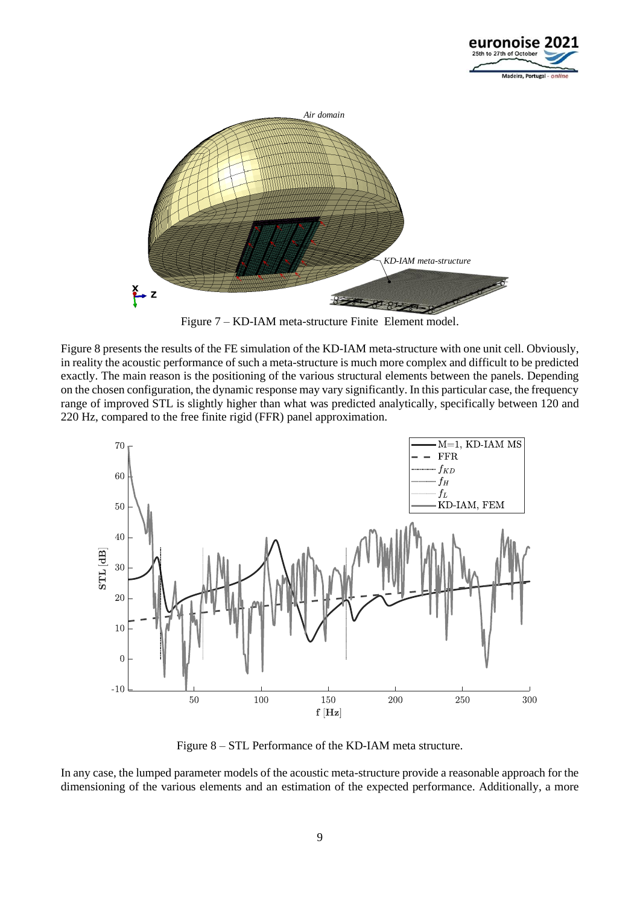



Figure 7 – KD-IAM meta-structure Finite Element model.

<span id="page-8-0"></span>[Figure 8](#page-8-1) presents the results of the FE simulation of the KD-IAM meta-structure with one unit cell. Obviously, in reality the acoustic performance of such a meta-structure is much more complex and difficult to be predicted exactly. The main reason is the positioning of the various structural elements between the panels. Depending on the chosen configuration, the dynamic response may vary significantly. In this particular case, the frequency range of improved STL is slightly higher than what was predicted analytically, specifically between 120 and 220 Hz, compared to the free finite rigid (FFR) panel approximation.



Figure 8 – STL Performance of the KD-IAM meta structure.

<span id="page-8-1"></span>In any case, the lumped parameter models of the acoustic meta-structure provide a reasonable approach for the dimensioning of the various elements and an estimation of the expected performance. Additionally, a more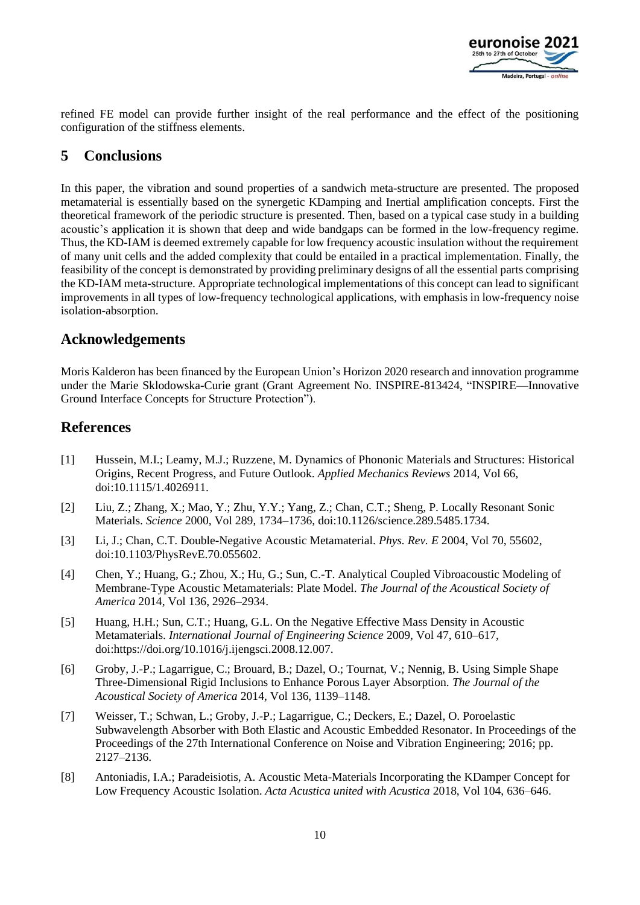

refined FE model can provide further insight of the real performance and the effect of the positioning configuration of the stiffness elements.

# **5 Conclusions**

In this paper, the vibration and sound properties of a sandwich meta-structure are presented. The proposed metamaterial is essentially based on the synergetic KDamping and Inertial amplification concepts. First the theoretical framework of the periodic structure is presented. Then, based on a typical case study in a building acoustic's application it is shown that deep and wide bandgaps can be formed in the low-frequency regime. Thus, the KD-IAM is deemed extremely capable for low frequency acoustic insulation without the requirement of many unit cells and the added complexity that could be entailed in a practical implementation. Finally, the feasibility of the concept is demonstrated by providing preliminary designs of all the essential parts comprising the KD-IAM meta-structure. Appropriate technological implementations of this concept can lead to significant improvements in all types of low-frequency technological applications, with emphasis in low-frequency noise isolation-absorption.

### **Acknowledgements**

Moris Kalderon has been financed by the European Union's Horizon 2020 research and innovation programme under the Marie Sklodowska-Curie grant (Grant Agreement No. INSPIRE-813424, "INSPIRE—Innovative Ground Interface Concepts for Structure Protection").

### **References**

- [1] Hussein, M.I.; Leamy, M.J.; Ruzzene, M. Dynamics of Phononic Materials and Structures: Historical Origins, Recent Progress, and Future Outlook. *Applied Mechanics Reviews* 2014, Vol 66, doi:10.1115/1.4026911.
- [2] Liu, Z.; Zhang, X.; Mao, Y.; Zhu, Y.Y.; Yang, Z.; Chan, C.T.; Sheng, P. Locally Resonant Sonic Materials. *Science* 2000, Vol 289, 1734–1736, doi:10.1126/science.289.5485.1734.
- [3] Li, J.; Chan, C.T. Double-Negative Acoustic Metamaterial. *Phys. Rev. E* 2004, Vol 70, 55602, doi:10.1103/PhysRevE.70.055602.
- [4] Chen, Y.; Huang, G.; Zhou, X.; Hu, G.; Sun, C.-T. Analytical Coupled Vibroacoustic Modeling of Membrane-Type Acoustic Metamaterials: Plate Model. *The Journal of the Acoustical Society of America* 2014, Vol 136, 2926–2934.
- [5] Huang, H.H.; Sun, C.T.; Huang, G.L. On the Negative Effective Mass Density in Acoustic Metamaterials. *International Journal of Engineering Science* 2009, Vol 47, 610–617, doi:https://doi.org/10.1016/j.ijengsci.2008.12.007.
- [6] Groby, J.-P.; Lagarrigue, C.; Brouard, B.; Dazel, O.; Tournat, V.; Nennig, B. Using Simple Shape Three-Dimensional Rigid Inclusions to Enhance Porous Layer Absorption. *The Journal of the Acoustical Society of America* 2014, Vol 136, 1139–1148.
- [7] Weisser, T.; Schwan, L.; Groby, J.-P.; Lagarrigue, C.; Deckers, E.; Dazel, O. Poroelastic Subwavelength Absorber with Both Elastic and Acoustic Embedded Resonator. In Proceedings of the Proceedings of the 27th International Conference on Noise and Vibration Engineering; 2016; pp. 2127–2136.
- [8] Antoniadis, I.A.; Paradeisiotis, A. Acoustic Meta-Materials Incorporating the KDamper Concept for Low Frequency Acoustic Isolation. *Acta Acustica united with Acustica* 2018, Vol 104, 636–646.